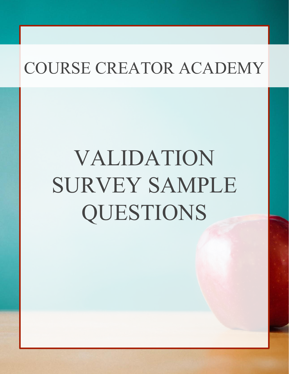# VALIDATION SURVEY SAMPLE QUESTIONS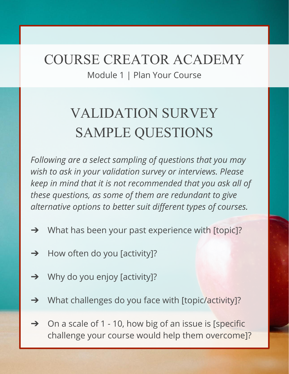Module 1 | Plan Your Course

## VALIDATION SURVEY SAMPLE QUESTIONS

*Following are a select sampling of questions that you may wish to ask in your validation survey or interviews. Please keep in mind that it is not recommended that you ask all of these questions, as some of them are redundant to give alternative options to better suit different types of courses.*

- ➔ What has been your past experience with [topic]?
- $\rightarrow$  How often do you [activity]?
- ➔ Why do you enjoy [activity]?
- ➔ What challenges do you face with [topic/activity]?
- $\rightarrow$  On a scale of 1 10, how big of an issue is [specific challenge your course would help them overcome]?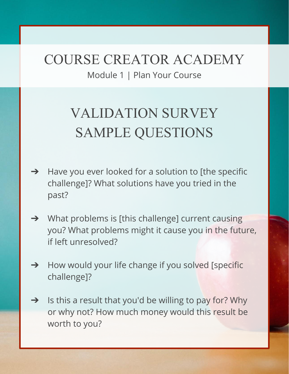Module 1 | Plan Your Course

## VALIDATION SURVEY SAMPLE QUESTIONS

- $\rightarrow$  Have you ever looked for a solution to [the specific challenge]? What solutions have you tried in the past?
- ➔ What problems is [this challenge] current causing you? What problems might it cause you in the future, if left unresolved?
- **→** How would your life change if you solved [specific challenge]?
- $\rightarrow$  Is this a result that you'd be willing to pay for? Why or why not? How much money would this result be worth to you?